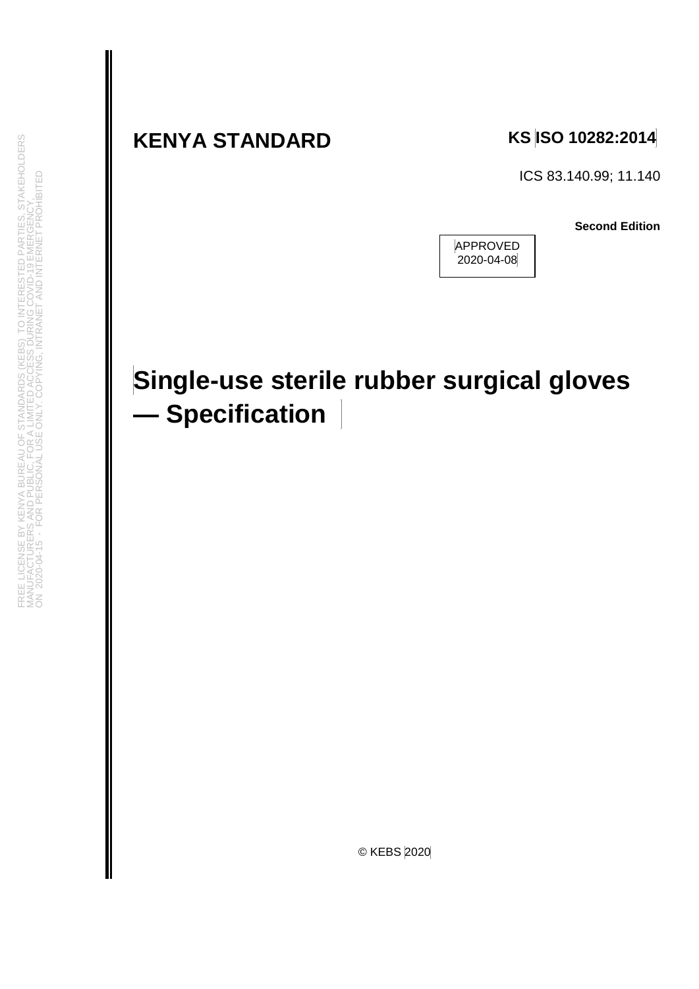## **KENYA STANDARD KS ISO 10282:2014**

ICS 83.140.99; 11.140

**Second Edition**



## **Single-use sterile rubber surgical gloves — Specification**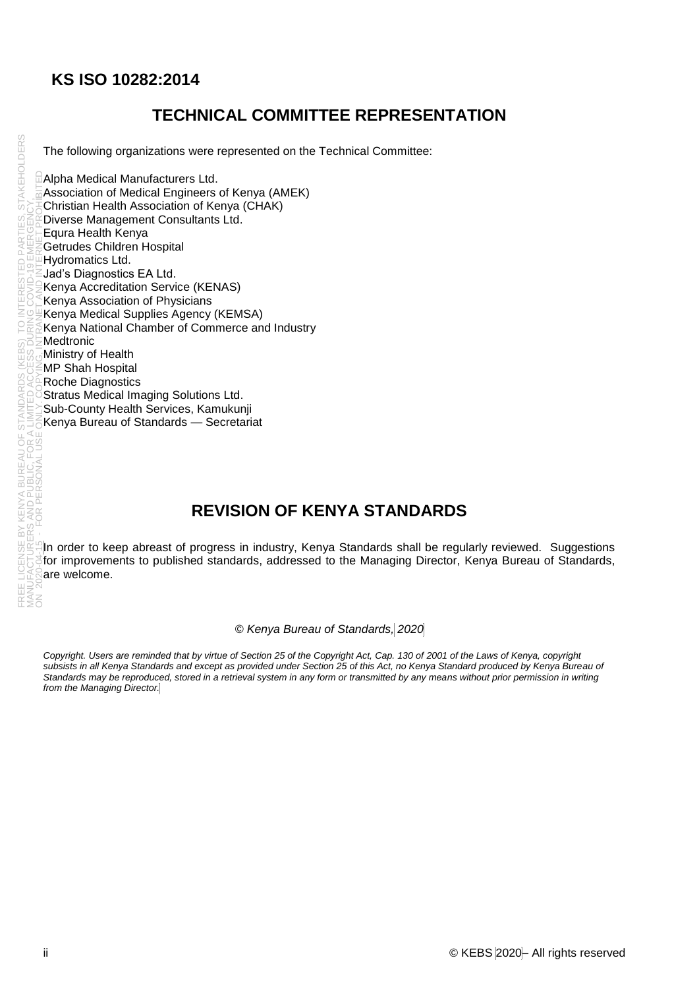#### **KS ISO 10282:2014**

#### **TECHNICAL COMMITTEE REPRESENTATION**

The following organizations were represented on the Technical Committee:

Alpha Medical Manufacturers Ltd. Association of Medical Engineers of Kenya (AMEK) Christian Health Association of Kenya (CHAK) Diverse Management Consultants Ltd. Equra Health Kenya Getrudes Children Hospital Hydromatics Ltd. Jad's Diagnostics EA Ltd. Kenya Accreditation Service (KENAS) Kenya Association of Physicians Kenya Medical Supplies Agency (KEMSA) Kenya National Chamber of Commerce and Industry **Medtronic** Ministry of Health MP Shah Hospital Roche Diagnostics Stratus Medical Imaging Solutions Ltd. Sub-County Health Services, Kamukunji Kenya Bureau of Standards — Secretariat

#### **REVISION OF KENYA STANDARDS**

In order to keep abreast of progress in industry, Kenya Standards shall be regularly reviewed. Suggestions for improvements to published standards, addressed to the Managing Director, Kenya Bureau of Standards, are welcome.

#### *© Kenya Bureau of Standards, 2020*

*Copyright. Users are reminded that by virtue of Section 25 of the Copyright Act, Cap. 130 of 2001 of the Laws of Kenya, copyright*  subsists in all Kenya Standards and except as provided under Section 25 of this Act, no Kenya Standard produced by Kenya Bureau of *Standards may be reproduced, stored in a retrieval system in any form or transmitted by any means without prior permission in writing from the Managing Director.*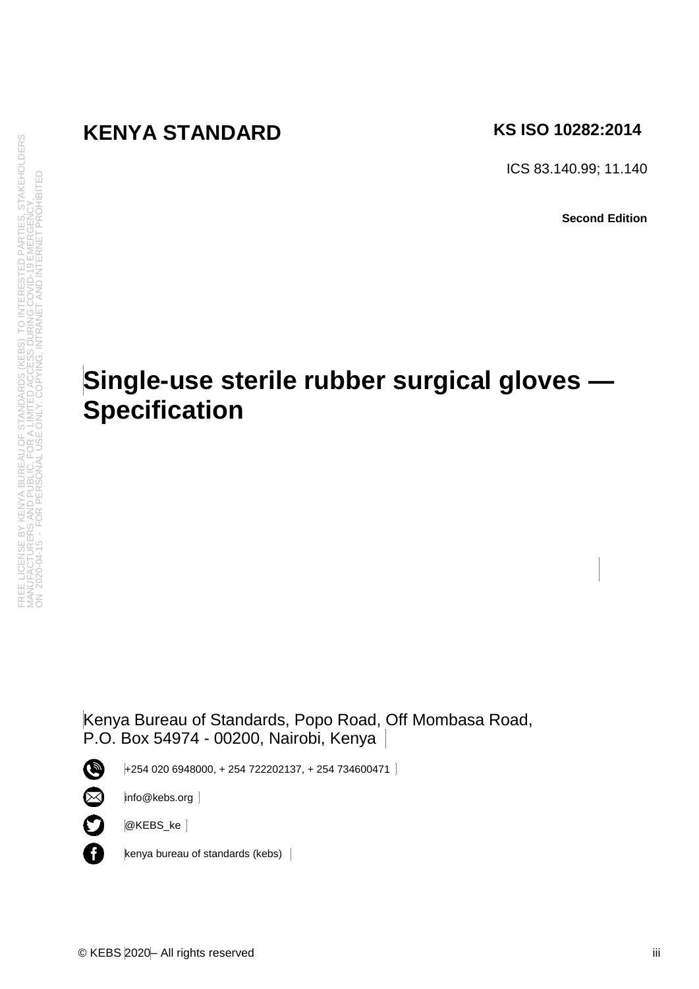## **KENYA STANDARD** KS ISO 10282:2014

ICS 83.140.99; 11.140

**Second Edition**

## **Single-use sterile rubber surgical gloves — Specification**

Kenya Bureau of Standards, Popo Road, Off Mombasa Road, P.O. Box 54974 - 00200, Nairobi, Kenya

+254 020 6948000, + 254 722202137, + 254 734600471

 $\bullet$  $\otimes$ 

 $\mathbf O$ 

A

info@kebs.org

@KEBS\_ke

kenya bureau of standards (kebs)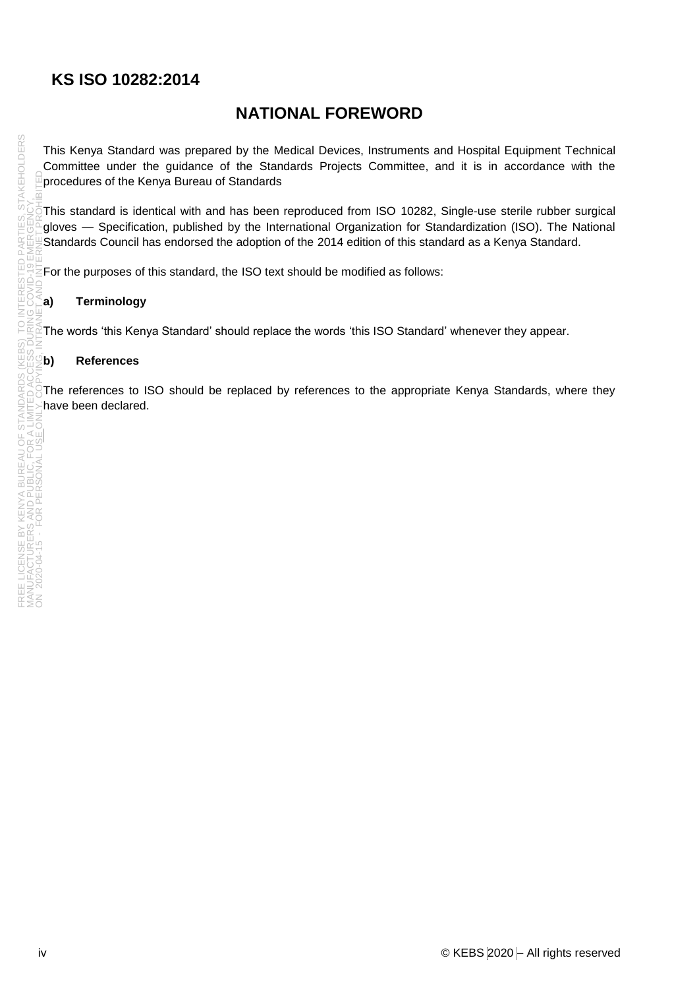#### **KS ISO 10282:2014**

#### **NATIONAL FOREWORD**

This Kenya Standard was prepared by the Medical Devices, Instruments and Hospital Equipment Technical Committee under the guidance of the Standards Projects Committee, and it is in accordance with the procedures of the Kenya Bureau of Standards

This standard is identical with and has been reproduced from ISO 10282, Single-use sterile rubber surgical gloves — Specification, published by the International Organization for Standardization (ISO). The National Standards Council has endorsed the adoption of the 2014 edition of this standard as a Kenya Standard.

For the purposes of this standard, the ISO text should be modified as follows:

#### **a) Terminology**

The words 'this Kenya Standard' should replace the words 'this ISO Standard' whenever they appear.

#### **b) References**

The references to ISO should be replaced by references to the appropriate Kenya Standards, where they have been declared.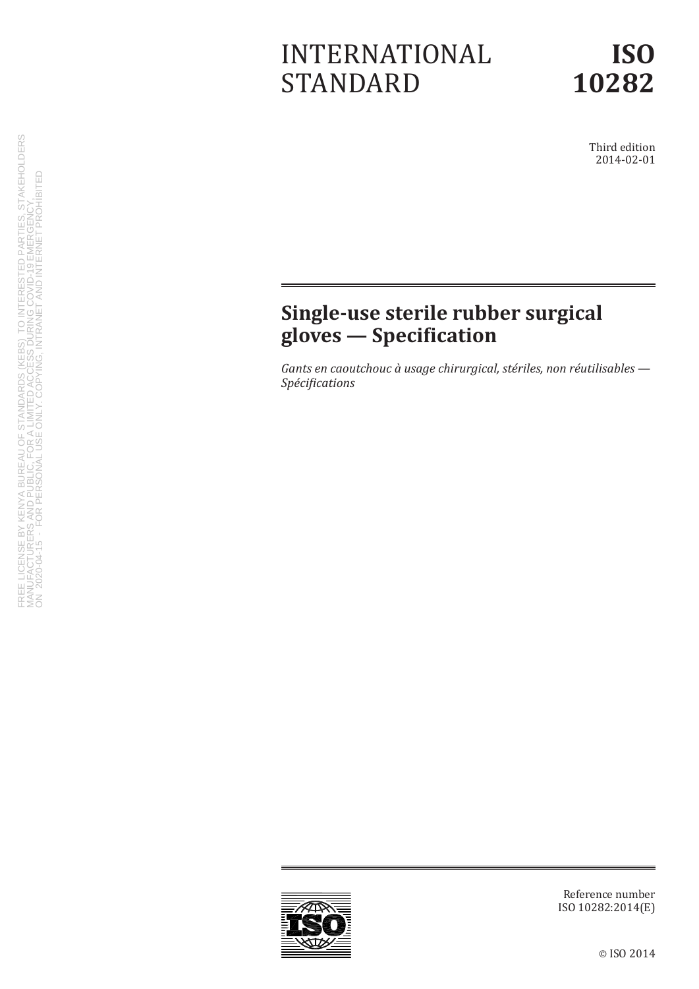## INTERNATIONAL STANDARD

Third edition 2014-02-01

## **Single-use sterile rubber surgical gloves — Specification**

*Gants en caoutchouc à usage chirurgical, stériles, non réutilisables — Spécifications*



Reference number ISO 10282:2014(E)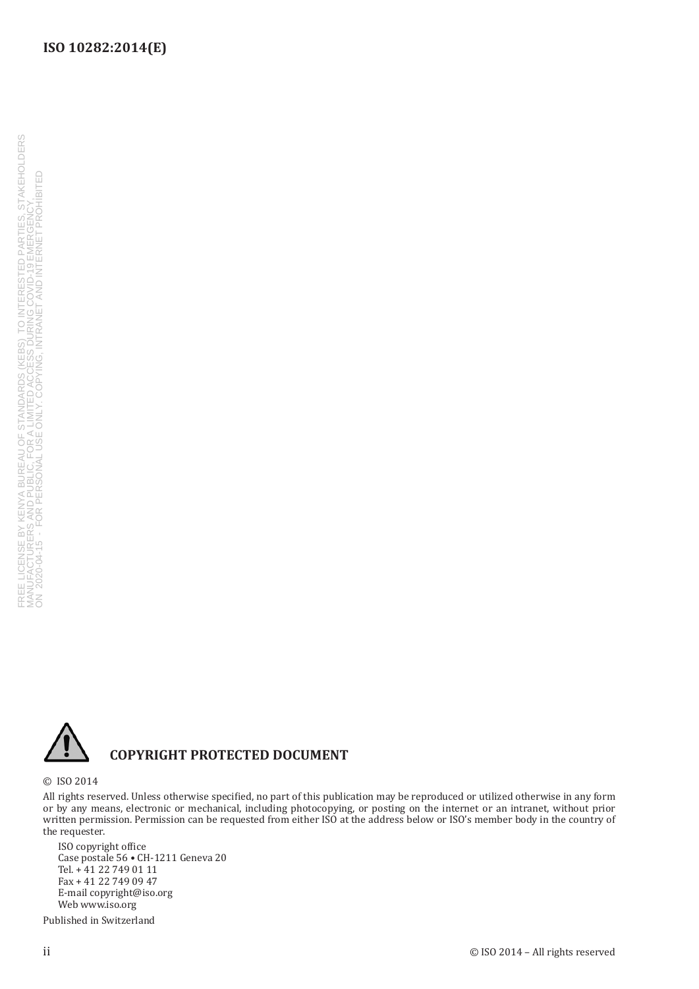#### **ISO 10282:2014(E)**



#### **COPYRIGHT PROTECTED DOCUMENT**

© ISO 2014

All rights reserved. Unless otherwise specified, no part of this publication may be reproduced or utilized otherwise in any form or by any means, electronic or mechanical, including photocopying, or posting on the internet or an intranet, without prior written permission. Permission can be requested from either ISO at the address below or ISO's member body in the country of the requester.

ISO copyright office Case postale 56 • CH-1211 Geneva 20 Tel. + 41 22 749 01 11 Fax + 41 22 749 09 47 E-mail copyright@iso.org Web www.iso.org

Published in Switzerland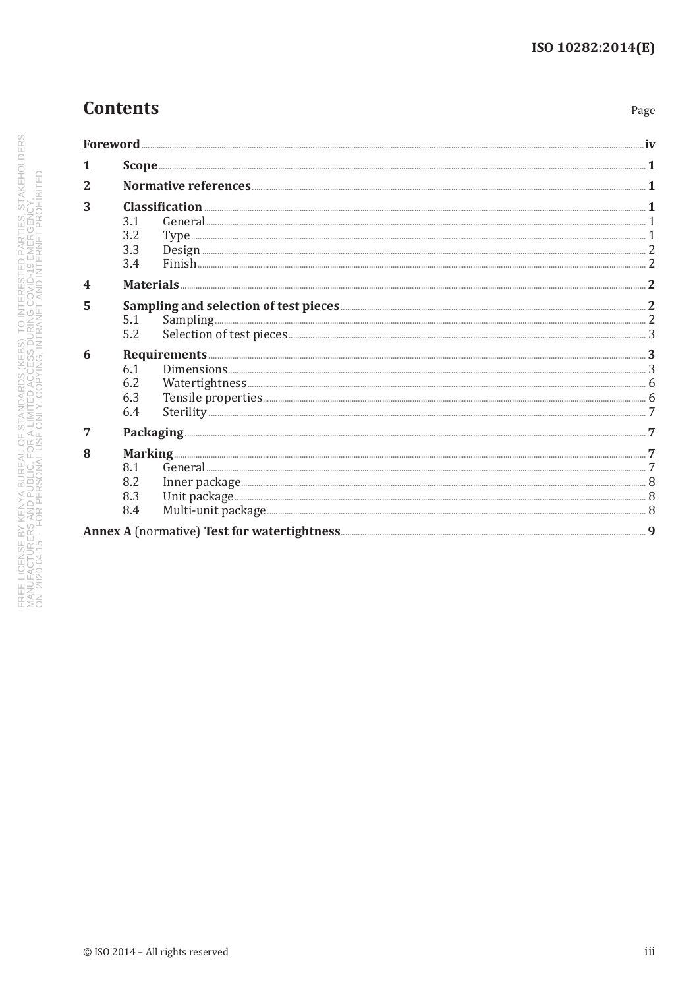Page

## **Contents**

| Foreword                |                                                                                                                                                                                                                                                                                                                                                                                                                                                                                                                                                                                        |  |
|-------------------------|----------------------------------------------------------------------------------------------------------------------------------------------------------------------------------------------------------------------------------------------------------------------------------------------------------------------------------------------------------------------------------------------------------------------------------------------------------------------------------------------------------------------------------------------------------------------------------------|--|
| 1                       |                                                                                                                                                                                                                                                                                                                                                                                                                                                                                                                                                                                        |  |
| 2                       |                                                                                                                                                                                                                                                                                                                                                                                                                                                                                                                                                                                        |  |
| 3                       | $\textbf{Classification} \text{ \dots} \text{ \dots} \text{ \dots} \text{ \dots} \text{ \dots} \text{ \dots} \text{ \dots} \text{ \dots} \text{ \dots} \text{ \dots} \text{ \dots} \text{ \dots} \text{ \dots} \text{ \dots} \text{ \dots} \text{ \dots} \text{ \dots} \text{ \dots} \text{ \dots} \text{ \dots} \text{ \dots} \text{ \dots} \text{ \dots} \text{ \dots} \text{ \dots} \text{ \dots} \text{ \dots} \text{ \dots} \text{ \dots} \text{ \dots} \text{ \dots} \text{ \dots} \text{ \dots} \text{ \dots} \text{ \dots} \text{ \$<br>3.1<br>3.2<br>3.3<br>$Finish$ 2<br>3.4 |  |
| $\overline{\mathbf{4}}$ | Materials 2                                                                                                                                                                                                                                                                                                                                                                                                                                                                                                                                                                            |  |
| 5                       | 5.1<br>5.2                                                                                                                                                                                                                                                                                                                                                                                                                                                                                                                                                                             |  |
| 6                       | Requirements 3<br>6.1<br>6.2<br>6.3<br>6.4                                                                                                                                                                                                                                                                                                                                                                                                                                                                                                                                             |  |
| 7                       |                                                                                                                                                                                                                                                                                                                                                                                                                                                                                                                                                                                        |  |
| 8                       | 8.1<br>8.2<br>8.3<br>8.4                                                                                                                                                                                                                                                                                                                                                                                                                                                                                                                                                               |  |
|                         |                                                                                                                                                                                                                                                                                                                                                                                                                                                                                                                                                                                        |  |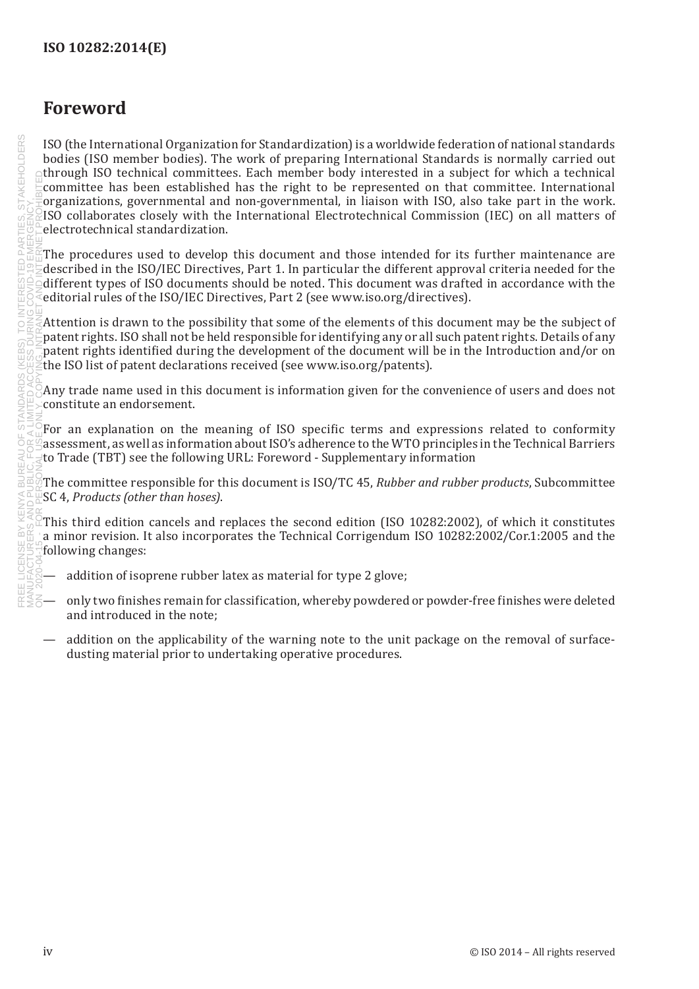## <span id="page-7-0"></span>**Foreword**

ISO (the International Organization for Standardization) is a worldwide federation of national standards bodies (ISO member bodies). The work of preparing International Standards is normally carried out through ISO technical committees. Each member body interested in a subject for which a technical committee has been established has the right to be represented on that committee. International organizations, governmental and non-governmental, in liaison with ISO, also take part in the work. ISO collaborates closely with the International Electrotechnical Commission (IEC) on all matters of electrotechnical standardization.

The procedures used to develop this document and those intended for its further maintenance are described in the ISO/IEC Directives, Part 1. In particular the different approval criteria needed for the different types of ISO documents should be noted. This document was drafted in accordance with the editorial rules of the ISO/IEC Directives, Part 2 (see [www.iso.org/directives\)](http://www.iso.org/directives).

Attention is drawn to the possibility that some of the elements of this document may be the subject of patent rights. ISO shall not be held responsible for identifying any or all such patent rights. Details of any patent rights identified during the development of the document will be in the Introduction and/or on the ISO list of patent declarations received (see [www.iso.org/patents](http://www.iso.org/patents)).

Any trade name used in this document is information given for the convenience of users and does not constitute an endorsement.

For an explanation on the meaning of ISO specific terms and expressions related to conformity assessment, as well as information about ISO's adherence to the WTO principles in the Technical Barriers to Trade (TBT) see the following URL: [Foreword - Supplementary information](http://www.iso.org/iso/home/standards_development/resources-for-technical-work/foreword.htm)

The committee responsible for this document is ISO/TC 45, *Rubber and rubber products*, Subcommittee SC 4, *Products (other than hoses)*.

This third edition cancels and replaces the second edition (ISO 10282:2002), of which it constitutes a minor revision. It also incorporates the Technical Corrigendum ISO 10282:2002/Cor.1:2005 and the following changes:

- addition of isoprene rubber latex as material for type 2 glove;
- only two finishes remain for classification, whereby powdered or powder-free finishes were deleted and introduced in the note;
- addition on the applicability of the warning note to the unit package on the removal of surfacedusting material prior to undertaking operative procedures.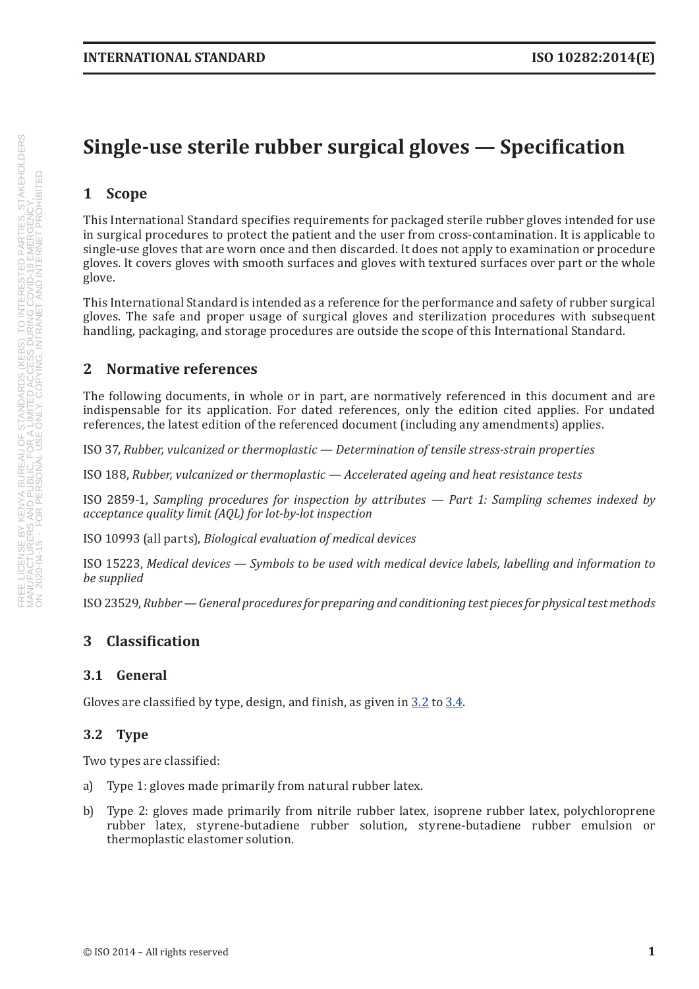## <span id="page-8-0"></span>**Single-use sterile rubber surgical gloves — Specification**

#### **1 Scope**

This International Standard specifies requirements for packaged sterile rubber gloves intended for use in surgical procedures to protect the patient and the user from cross-contamination. It is applicable to single-use gloves that are worn once and then discarded. It does not apply to examination or procedure gloves. It covers gloves with smooth surfaces and gloves with textured surfaces over part or the whole glove.

This International Standard is intended as a reference for the performance and safety of rubber surgical gloves. The safe and proper usage of surgical gloves and sterilization procedures with subsequent handling, packaging, and storage procedures are outside the scope of this International Standard.

#### **2 Normative references**

The following documents, in whole or in part, are normatively referenced in this document and are indispensable for its application. For dated references, only the edition cited applies. For undated references, the latest edition of the referenced document (including any amendments) applies.

ISO 37, *Rubber, vulcanized or thermoplastic — Determination of tensile stress-strain properties*

ISO 188, *Rubber, vulcanized or thermoplastic — Accelerated ageing and heat resistance tests*

ISO 2859-1, *Sampling procedures for inspection by attributes — Part 1: Sampling schemes indexed by acceptance quality limit (AQL) for lot-by-lot inspection*

ISO 10993 (all parts), *Biological evaluation of medical devices*

ISO 15223, *Medical devices — Symbols to be used with medical device labels, labelling and information to be supplied*

ISO23529, *Rubber — General procedures for preparing and conditioning test pieces for physical test methods*

#### **3 Classification**

#### **3.1 General**

Gloves are classified by type, design, and finish, as given in [3.2](#page-8-1) to [3.4](#page-9-1).

#### <span id="page-8-1"></span>**3.2 Type**

Two types are classified:

- a) Type 1: gloves made primarily from natural rubber latex.
- b) Type 2: gloves made primarily from nitrile rubber latex, isoprene rubber latex, polychloroprene rubber latex, styrene-butadiene rubber solution, styrene-butadiene rubber emulsion or thermoplastic elastomer solution.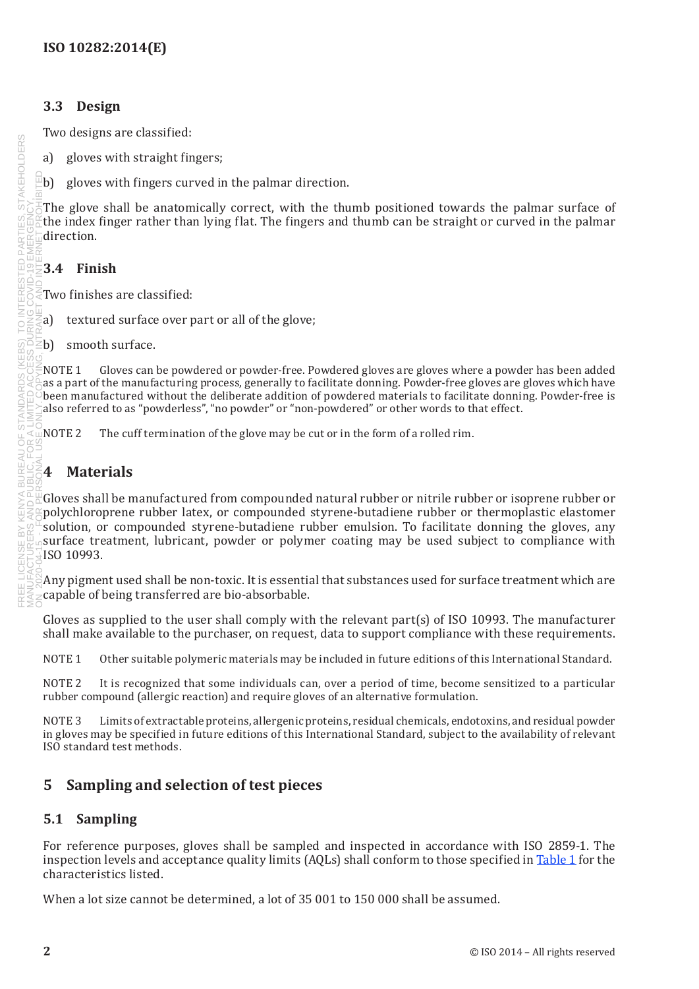#### <span id="page-9-0"></span>**3.3 Design**

Two designs are classified:

a) gloves with straight fingers;

b) gloves with fingers curved in the palmar direction.

The glove shall be anatomically correct, with the thumb positioned towards the palmar surface of the index finger rather than lying flat. The fingers and thumb can be straight or curved in the palmar direction.

#### <span id="page-9-1"></span>**3.4 Finish**

Two finishes are classified:

- a) textured surface over part or all of the glove;
- b) smooth surface.

NOTE 1 Gloves can be powdered or powder-free. Powdered gloves are gloves where a powder has been added as a part of the manufacturing process, generally to facilitate donning. Powder-free gloves are gloves which have been manufactured without the deliberate addition of powdered materials to facilitate donning. Powder-free is also referred to as "powderless", "no powder" or "non-powdered" or other words to that effect.

NOTE 2 The cuff termination of the glove may be cut or in the form of a rolled rim.

#### **4 Materials**

Gloves shall be manufactured from compounded natural rubber or nitrile rubber or isoprene rubber or polychloroprene rubber latex, or compounded styrene-butadiene rubber or thermoplastic elastomer solution, or compounded styrene-butadiene rubber emulsion. To facilitate donning the gloves, any surface treatment, lubricant, powder or polymer coating may be used subject to compliance with ISO 10993.

Any pigment used shall be non-toxic. It is essential that substances used for surface treatment which are capable of being transferred are bio-absorbable.

Gloves as supplied to the user shall comply with the relevant part(s) of ISO 10993. The manufacturer shall make available to the purchaser, on request, data to support compliance with these requirements.

NOTE 1 Other suitable polymeric materials may be included in future editions of this International Standard.

NOTE 2 It is recognized that some individuals can, over a period of time, become sensitized to a particular rubber compound (allergic reaction) and require gloves of an alternative formulation.

NOTE 3 Limits of extractable proteins, allergenic proteins, residual chemicals, endotoxins, and residual powder in gloves may be specified in future editions of this International Standard, subject to the availability of relevant ISO standard test methods.

#### **5 Sampling and selection of test pieces**

#### **5.1 Sampling**

For reference purposes, gloves shall be sampled and inspected in accordance with ISO 2859-1. The inspection levels and acceptance quality limits (AQLs) shall conform to those specified in [Table](#page-10-1) 1 for the characteristics listed.

When a lot size cannot be determined, a lot of 35 001 to 150 000 shall be assumed.

**STAKEHOLDERS**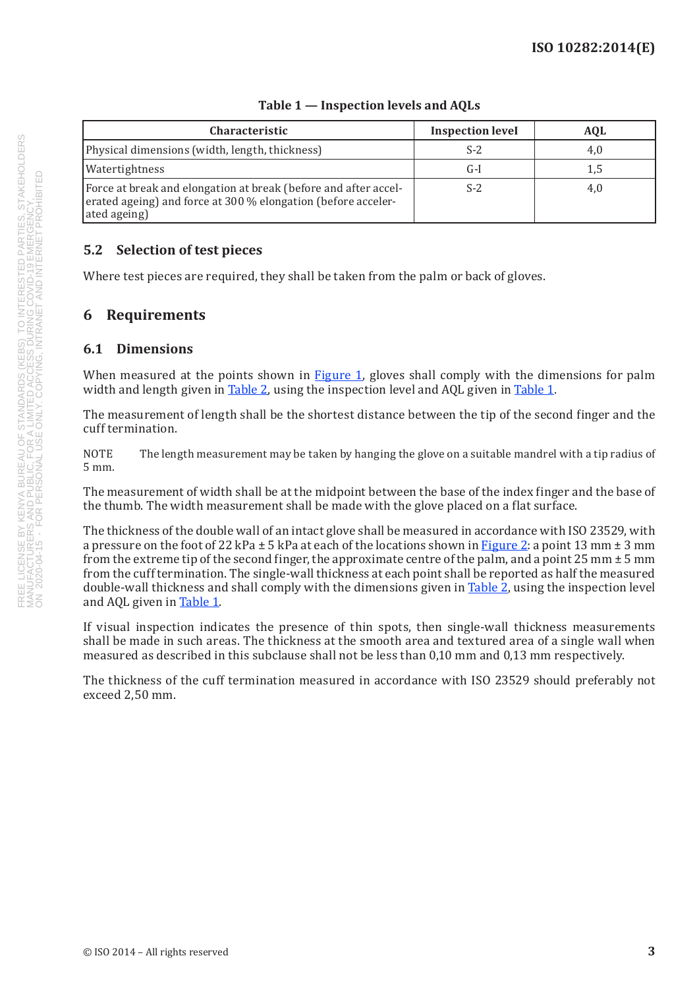<span id="page-10-0"></span>

| <b>Characteristic</b>                                                                                                                            | <b>Inspection level</b> | <b>AOL</b> |
|--------------------------------------------------------------------------------------------------------------------------------------------------|-------------------------|------------|
| Physical dimensions (width, length, thickness)                                                                                                   | $S-2$                   | 4,0        |
| Watertightness                                                                                                                                   | G-I                     | 1,5        |
| Force at break and elongation at break (before and after accel-<br>erated ageing) and force at 300 % elongation (before acceler-<br>ated ageing) | S-2                     | 4,0        |

#### <span id="page-10-1"></span>**Table 1 — Inspection levels and AQLs**

#### **5.2 Selection of test pieces**

Where test pieces are required, they shall be taken from the palm or back of gloves.

#### **6 Requirements**

#### **6.1 Dimensions**

When measured at the points shown in [Figure](#page-11-0) 1, gloves shall comply with the dimensions for palm width and length given in [Table](#page-12-0) 2, using the inspection level and AQL given in [Table](#page-10-1) 1.

The measurement of length shall be the shortest distance between the tip of the second finger and the cuff termination.

NOTE The length measurement may be taken by hanging the glove on a suitable mandrel with a tip radius of 5 mm.

The measurement of width shall be at the midpoint between the base of the index finger and the base of the thumb. The width measurement shall be made with the glove placed on a flat surface.

The thickness of the double wall of an intact glove shall be measured in accordance with ISO 23529, with a pressure on the foot of 22 kPa  $\pm$  5 kPa at each of the locations shown in [Figure](#page-13-1) 2: a point 13 mm  $\pm$  3 mm from the extreme tip of the second finger, the approximate centre of the palm, and a point 25 mm  $\pm$  5 mm from the cuff termination. The single-wall thickness at each point shall be reported as half the measured double-wall thickness and shall comply with the dimensions given in [Table](#page-12-0) 2, using the inspection level and AQL given in [Table](#page-10-1) 1.

If visual inspection indicates the presence of thin spots, then single-wall thickness measurements shall be made in such areas. The thickness at the smooth area and textured area of a single wall when measured as described in this subclause shall not be less than 0,10 mm and 0,13 mm respectively.

The thickness of the cuff termination measured in accordance with ISO 23529 should preferably not exceed 2,50 mm.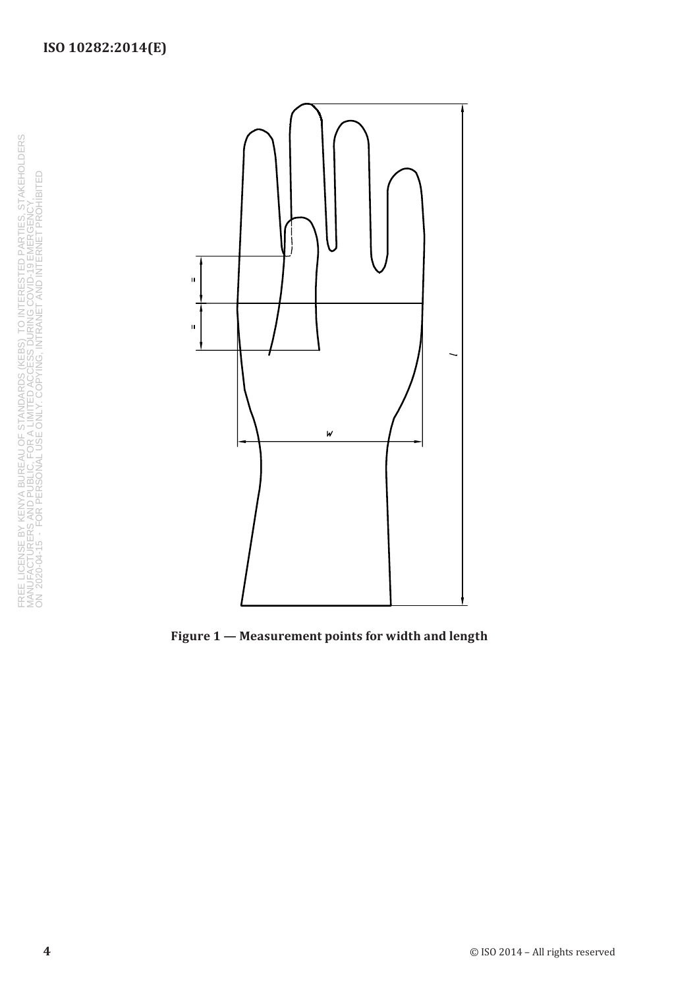



<span id="page-11-0"></span>**Figure 1 — Measurement points for width and length**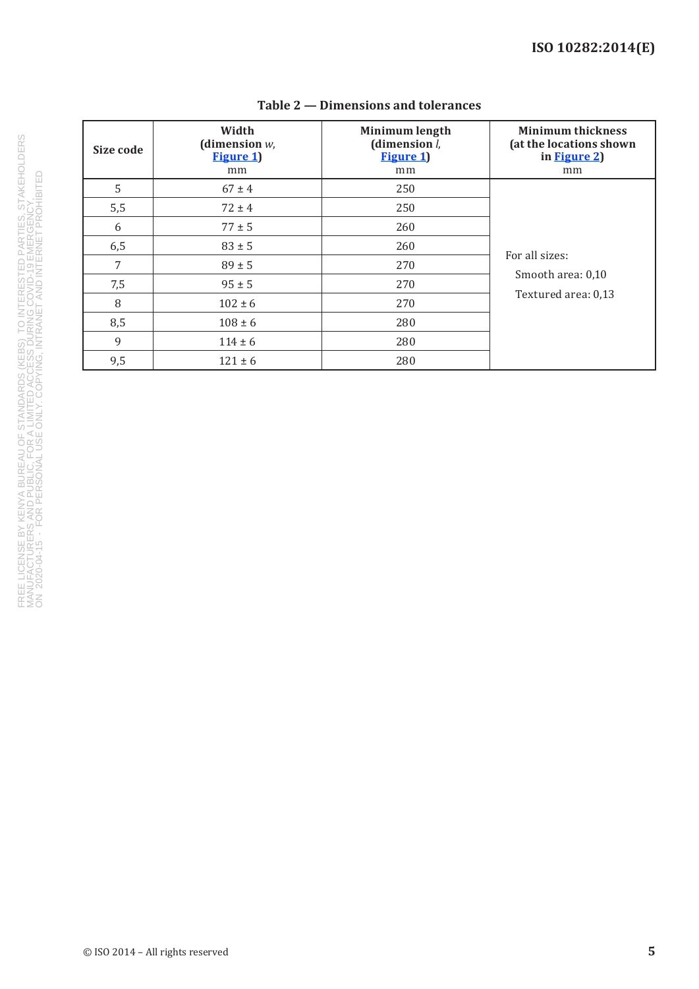| Size code | Width<br>(dimension $w$ ,<br><b>Figure 1)</b><br>mm | Minimum length<br>(dimension $l$ ,<br><b>Figure 1)</b><br>mm | <b>Minimum thickness</b><br>(at the locations shown<br>in Figure 2)<br>mm |  |
|-----------|-----------------------------------------------------|--------------------------------------------------------------|---------------------------------------------------------------------------|--|
| 5         | $67 \pm 4$                                          | 250                                                          |                                                                           |  |
| 5,5       | $72 \pm 4$                                          | 250                                                          |                                                                           |  |
| 6         | $77 \pm 5$                                          | 260                                                          |                                                                           |  |
| 6,5       | $83 \pm 5$                                          | 260                                                          |                                                                           |  |
| 7         | $89 \pm 5$                                          | 270                                                          | For all sizes:                                                            |  |
| 7,5       | $95 \pm 5$                                          | 270                                                          | Smooth area: 0,10                                                         |  |
| 8         | $102 \pm 6$                                         | 270                                                          | Textured area: 0,13                                                       |  |
| 8,5       | $108 \pm 6$                                         | 280                                                          |                                                                           |  |
| 9         | $114 \pm 6$                                         | 280                                                          |                                                                           |  |
| 9,5       | $121 \pm 6$                                         | 280                                                          |                                                                           |  |

#### <span id="page-12-0"></span>**Table 2 — Dimensions and tolerances**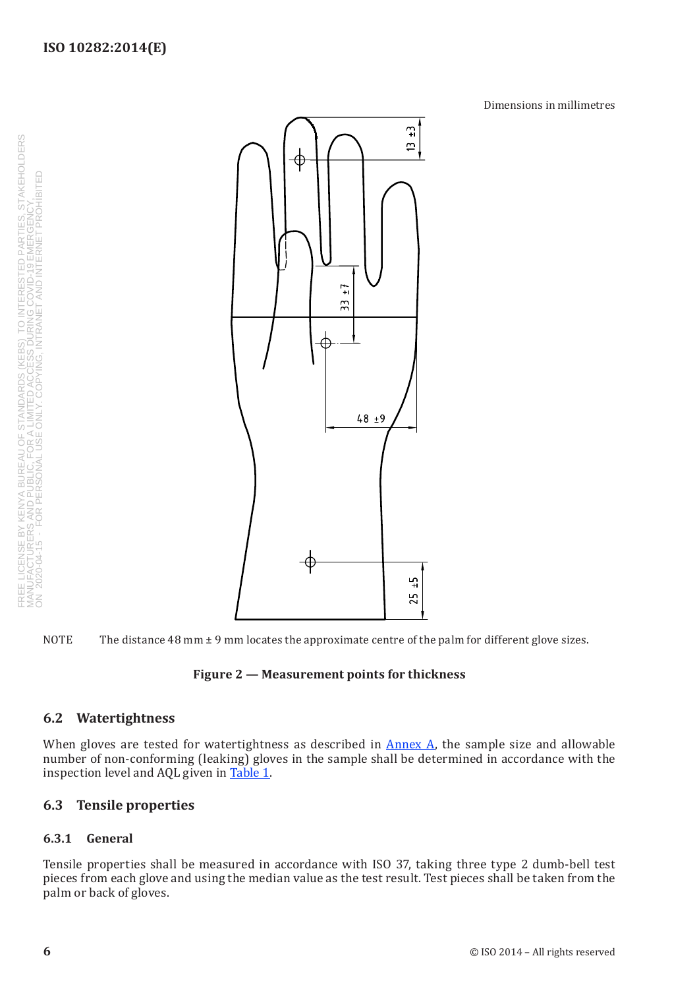Dimensions in millimetres

<span id="page-13-0"></span>INSE BY KENYA BUREAU OF STANDARDS (KEBS) TO INTERESTED PARTIES, STAKEHOLDERS<br>TURERS AND PUBLIC, FOR A LIMITED ACCESS DURING COVID-19 EMERGENCY.<br>4-15 - FOR PERSONAL USE ONLY. COPYING, INTRANET AND INTERNET PROHIBITED FREE LICENSE BY KENYA BUREAU OF STANDARDS (KEBS) TO INTERESTED PARTIES, STAKEHOLDERS MANUFACTURERS AND PUBLIC, FOR A LIMITED ACCESS DURING COVID-19 EMERGENCY, ON 2020-04-15 - FOR PERSONAL USE ONLY. COPYING, INTRANET AND INTERNET PROHIBITED





#### <span id="page-13-1"></span>**Figure 2 — Measurement points for thickness**

#### **6.2 Watertightness**

When gloves are tested for watertightness as described in [Annex](#page-16-1) A, the sample size and allowable number of non-conforming (leaking) gloves in the sample shall be determined in accordance with the inspection level and AQL given in [Table](#page-10-1) 1.

#### **6.3 Tensile properties**

#### **6.3.1 General**

Tensile properties shall be measured in accordance with ISO 37, taking three type 2 dumb-bell test pieces from each glove and using the median value as the test result. Test pieces shall be taken from the palm or back of gloves.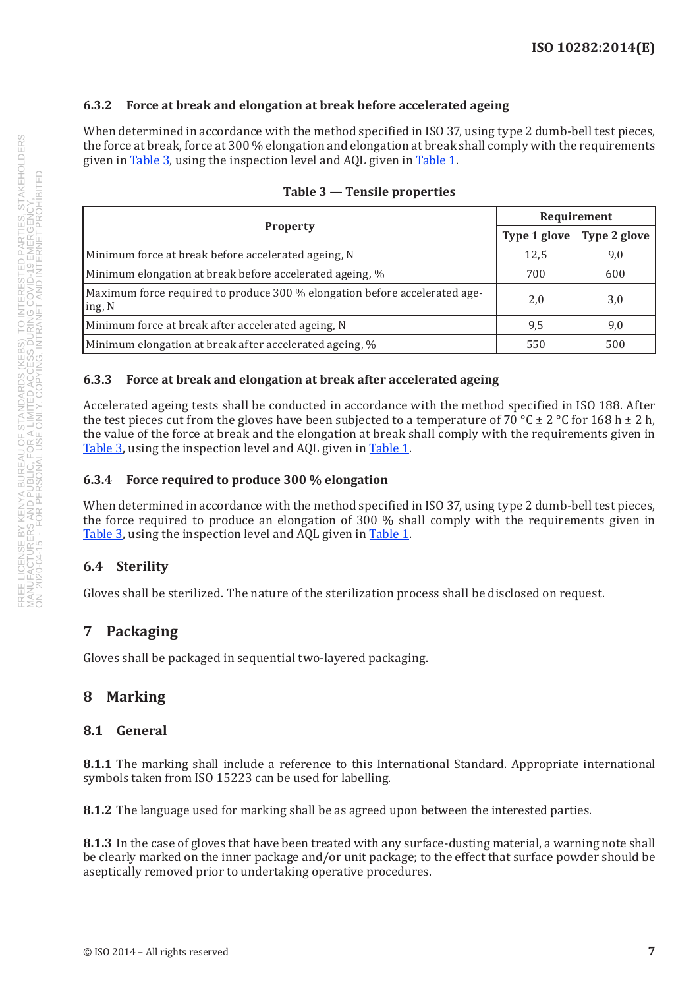#### <span id="page-14-0"></span>**6.3.2 Force at break and elongation at break before accelerated ageing**

When determined in accordance with the method specified in ISO 37, using type 2 dumb-bell test pieces, the force at break, force at 300 % elongation and elongation at break shall comply with the requirements given in [Table](#page-10-1) 3, using the inspection level and AQL given in Table 1.

|                                                                                      | Requirement  |              |
|--------------------------------------------------------------------------------------|--------------|--------------|
| <b>Property</b>                                                                      | Type 1 glove | Type 2 glove |
| Minimum force at break before accelerated ageing, N                                  | 12,5         | 9,0          |
| Minimum elongation at break before accelerated ageing, %                             | 700          | 600          |
| Maximum force required to produce 300 % elongation before accelerated age-<br>ing, N | 2,0          | 3,0          |
| Minimum force at break after accelerated ageing, N                                   | 9,5          | 9,0          |
| Minimum elongation at break after accelerated ageing, %                              | 550          | 500          |

#### <span id="page-14-1"></span>**Table 3 — Tensile properties**

#### **6.3.3 Force at break and elongation at break after accelerated ageing**

Accelerated ageing tests shall be conducted in accordance with the method specified in ISO 188. After the test pieces cut from the gloves have been subjected to a temperature of 70 °C  $\pm$  2 °C for 168 h  $\pm$  2 h, the value of the force at break and the elongation at break shall comply with the requirements given in [Table](#page-14-1) 3, using the inspection level and AQL given in [Table](#page-10-1) 1.

#### **6.3.4 Force required to produce 300 % elongation**

When determined in accordance with the method specified in ISO 37, using type 2 dumb-bell test pieces, the force required to produce an elongation of 300 % shall comply with the requirements given in [Table](#page-14-1) 3, using the inspection level and AQL given in [Table](#page-10-1) 1.

#### **6.4 Sterility**

Gloves shall be sterilized. The nature of the sterilization process shall be disclosed on request.

#### **7 Packaging**

Gloves shall be packaged in sequential two-layered packaging.

#### **8 Marking**

#### **8.1 General**

**8.1.1** The marking shall include a reference to this International Standard. Appropriate international symbols taken from ISO 15223 can be used for labelling.

**8.1.2** The language used for marking shall be as agreed upon between the interested parties.

**8.1.3** In the case of gloves that have been treated with any surface-dusting material, a warning note shall be clearly marked on the inner package and/or unit package; to the effect that surface powder should be aseptically removed prior to undertaking operative procedures.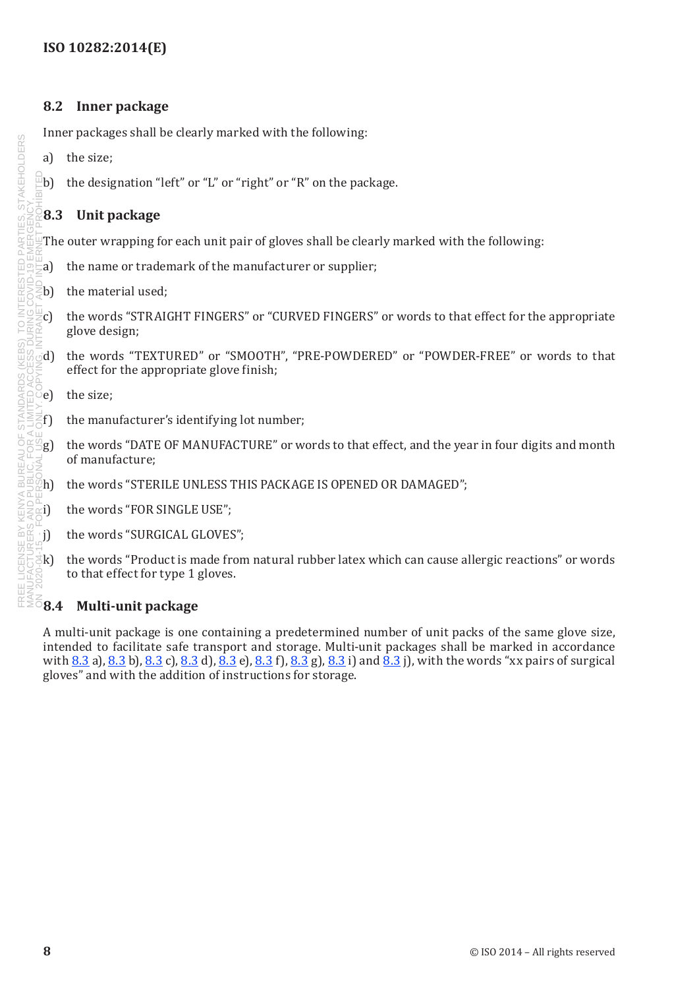#### <span id="page-15-0"></span>**8.2 Inner package**

Inner packages shall be clearly marked with the following:

- a) the size;
- $\Phi$  the designation "left" or "L" or "right" or "R" on the package.

#### <span id="page-15-1"></span>**8.3 Unit package**

The outer wrapping for each unit pair of gloves shall be clearly marked with the following:

- a) the name or trademark of the manufacturer or supplier;
- b) the material used;
- $\mathcal{C}$  the words "STRAIGHT FINGERS" or "CURVED FINGERS" or words to that effect for the appropriate glove design;
- d) the words "TEXTURED" or "SMOOTH", "PRE-POWDERED" or "POWDER-FREE" or words to that effect for the appropriate glove finish;
- $\delta$ e) the size:
- $\zeta$ f) the manufacturer's identifying lot number;
- $g$ ) the words "DATE OF MANUFACTURE" or words to that effect, and the year in four digits and month of manufacture;
- h) the words "STERILE UNLESS THIS PACKAGE IS OPENED OR DAMAGED";
- i) the words "FOR SINGLE USE";
- j) the words "SURGICAL GLOVES";
- k) the words "Product is made from natural rubber latex which can cause allergic reactions" or words to that effect for type 1 gloves.

#### **8.4 Multi-unit package**

A multi-unit package is one containing a predetermined number of unit packs of the same glove size, intended to facilitate safe transport and storage. Multi-unit packages shall be marked in accordance with [8.3](#page-15-1) a), [8.3](#page-15-1) b), 8.3 c), 8.3 d), 8.3 e), 8.3 f), 8.3 g), 8.3 i) and 8.3 j), with the words "xx pairs of surgical gloves" and with the addition of instructions for storage.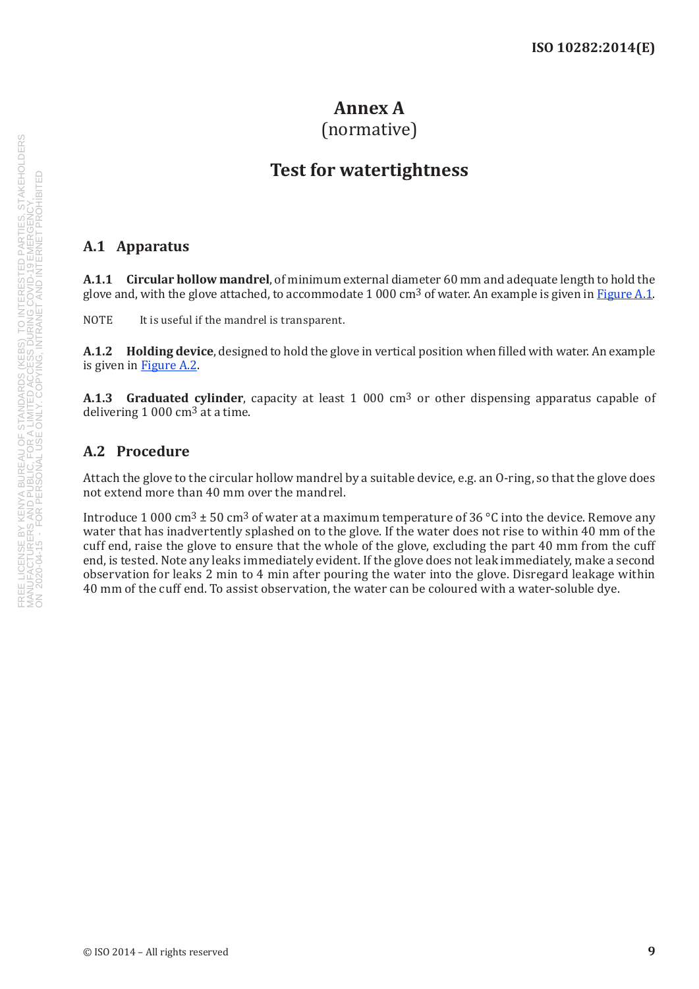#### <span id="page-16-1"></span>**Annex A** (normative)

### **Test for watertightness**

#### <span id="page-16-0"></span>**A.1 Apparatus**

**A.1.1 Circular hollow mandrel**, of minimum external diameter 60 mm and adequate length to hold the glove and, with the glove attached, to accommodate 1 000 cm<sup>3</sup> of water. An example is given in [Figure](#page-17-0) A.1.

NOTE It is useful if the mandrel is transparent.

**A.1.2 Holding device**, designed to hold the glove in vertical position when filled with water. An example is given in [Figure](#page-18-0) A.2.

**A.1.3 Graduated cylinder**, capacity at least 1 000 cm3 or other dispensing apparatus capable of delivering 1 000 cm3 at a time.

#### **A.2 Procedure**

Attach the glove to the circular hollow mandrel by a suitable device, e.g. an O-ring, so that the glove does not extend more than 40 mm over the mandrel.

Introduce 1 000 cm<sup>3</sup>  $\pm$  50 cm<sup>3</sup> of water at a maximum temperature of 36 °C into the device. Remove any water that has inadvertently splashed on to the glove. If the water does not rise to within 40 mm of the cuff end, raise the glove to ensure that the whole of the glove, excluding the part 40 mm from the cuff end, is tested. Note any leaks immediately evident. If the glove does not leak immediately, make a second observation for leaks 2 min to 4 min after pouring the water into the glove. Disregard leakage within 40 mm of the cuff end. To assist observation, the water can be coloured with a water-soluble dye.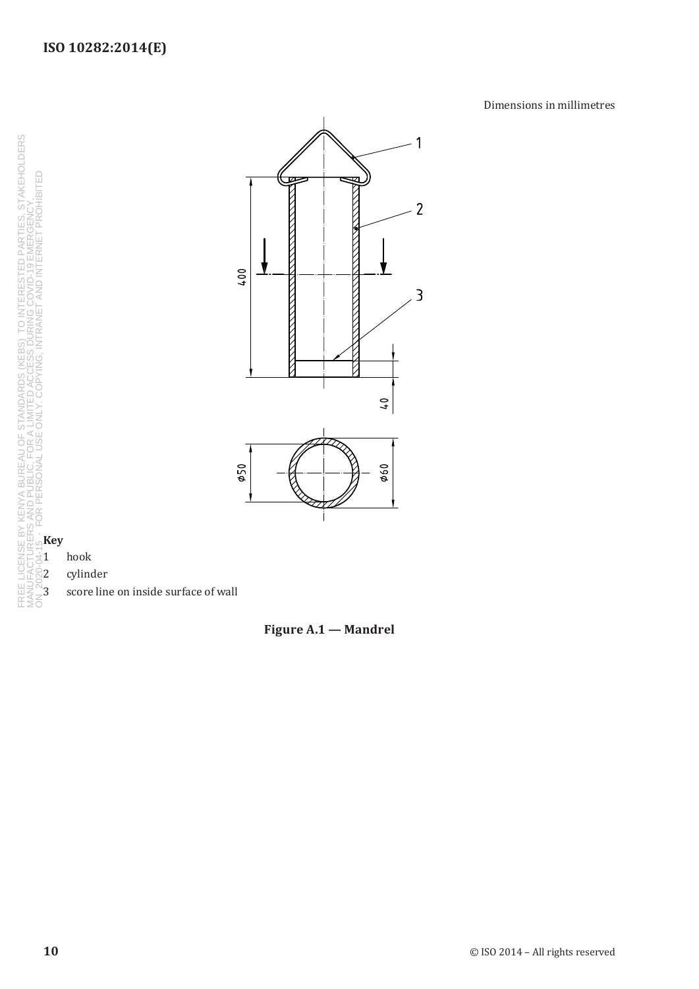Dimensions in millimetres



# SE BY KENYA BUREAU OF STANDARDS (KEBS) TO INTERESTED PARTIES, STAKEHOLDERS<br>RERS AND PUBLIC, FOR A LIMITED ACCESS DURING COVID-19 EMERGENCY.<br>**K** - FOR PERSONAL USE ONLY. COPYING, INTRANET AND INTERNET PROHIBITED<br>**K - K** FREE LICENSE BY KENYA BUREAU OF STANDARDS (KEBS) TO INTERESTED PARTIES, STAKEHOLDERS MANUFACTURERS AND PUBLIC, FOR A LIMITED ACCESS DURING COVID-19 EMERGENCY, ON 2020-04-15 - FOR PERSONAL USE ONLY. COPYING, INTRANET AND INTERNET PROHIBITEDU) 1 hook <sup>2</sup>2 cylinder FREE L<br>MANUI

á

3 score line on inside surface of wall

<span id="page-17-0"></span>**Figure A.1 — Mandrel**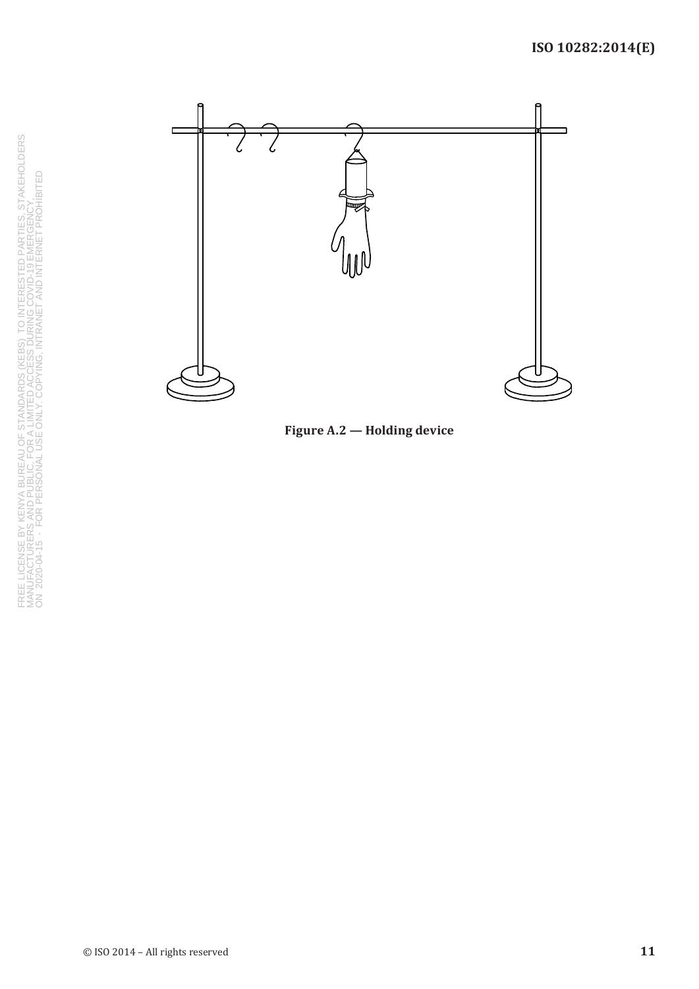

<span id="page-18-0"></span>